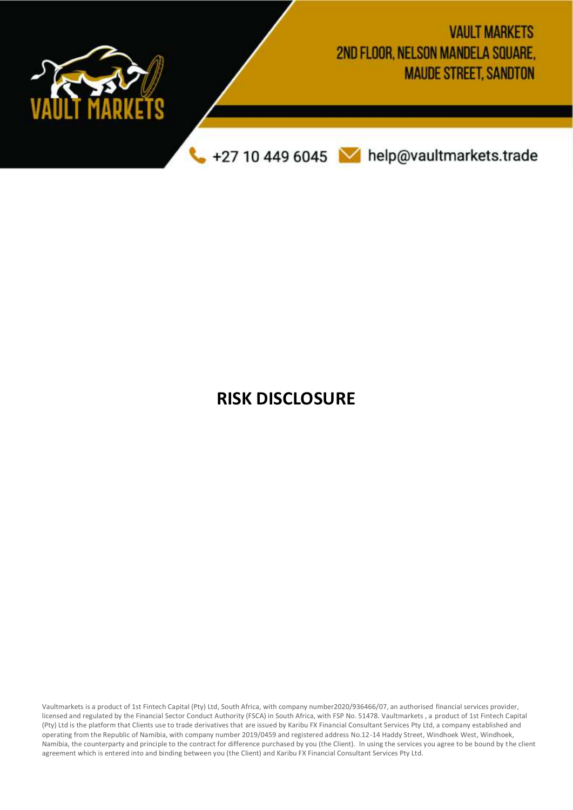

# **RISK DISCLOSURE**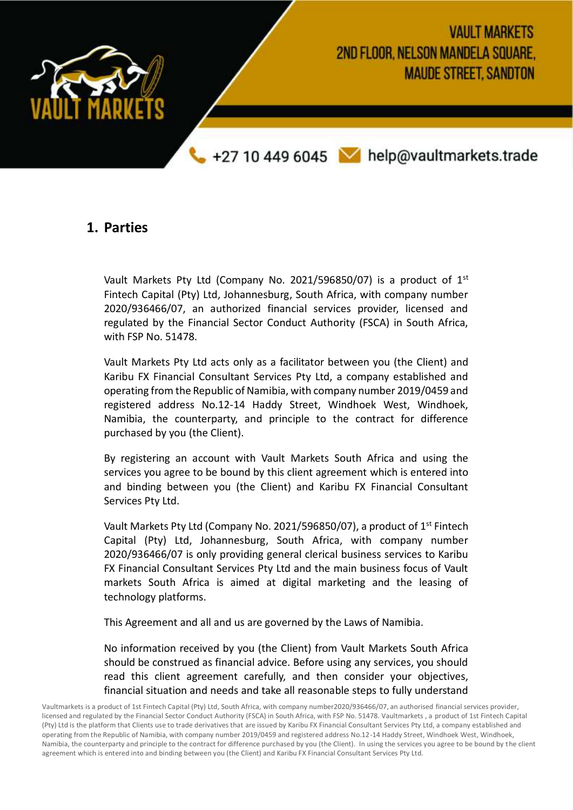

### **1. Parties**

Vault Markets Pty Ltd (Company No. 2021/596850/07) is a product of  $1<sup>st</sup>$ Fintech Capital (Pty) Ltd, Johannesburg, South Africa, with company number 2020/936466/07, an authorized financial services provider, licensed and regulated by the Financial Sector Conduct Authority (FSCA) in South Africa, with FSP No. 51478.

Vault Markets Pty Ltd acts only as a facilitator between you (the Client) and Karibu FX Financial Consultant Services Pty Ltd, a company established and operating from the Republic of Namibia, with company number 2019/0459 and registered address No.12-14 Haddy Street, Windhoek West, Windhoek, Namibia, the counterparty, and principle to the contract for difference purchased by you (the Client).

By registering an account with Vault Markets South Africa and using the services you agree to be bound by this client agreement which is entered into and binding between you (the Client) and Karibu FX Financial Consultant Services Pty Ltd.

Vault Markets Pty Ltd (Company No. 2021/596850/07), a product of 1<sup>st</sup> Fintech Capital (Pty) Ltd, Johannesburg, South Africa, with company number 2020/936466/07 is only providing general clerical business services to Karibu FX Financial Consultant Services Pty Ltd and the main business focus of Vault markets South Africa is aimed at digital marketing and the leasing of technology platforms.

This Agreement and all and us are governed by the Laws of Namibia.

No information received by you (the Client) from Vault Markets South Africa should be construed as financial advice. Before using any services, you should read this client agreement carefully, and then consider your objectives, financial situation and needs and take all reasonable steps to fully understand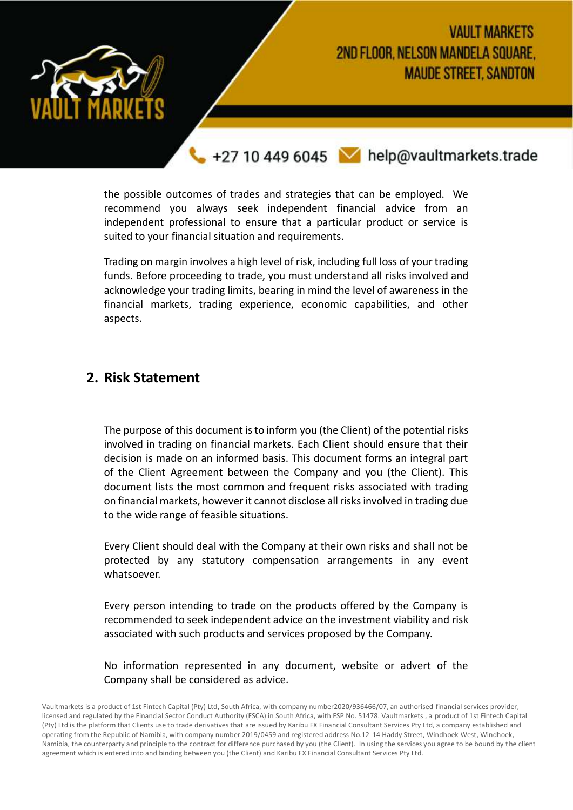

# **VAULT MARKETS** 2ND FLOOR, NELSON MANDELA SOUARE. **MAUDE STREET, SANDTON**

+27 10 449 6045 Melp@vaultmarkets.trade

the possible outcomes of trades and strategies that can be employed. We recommend you always seek independent financial advice from an independent professional to ensure that a particular product or service is suited to your financial situation and requirements.

Trading on margin involves a high level of risk, including full loss of your trading funds. Before proceeding to trade, you must understand all risks involved and acknowledge your trading limits, bearing in mind the level of awareness in the financial markets, trading experience, economic capabilities, and other aspects.

### **2. Risk Statement**

The purpose of this document is to inform you (the Client) of the potential risks involved in trading on financial markets. Each Client should ensure that their decision is made on an informed basis. This document forms an integral part of the Client Agreement between the Company and you (the Client). This document lists the most common and frequent risks associated with trading on financial markets, however it cannot disclose all risks involved in trading due to the wide range of feasible situations.

Every Client should deal with the Company at their own risks and shall not be protected by any statutory compensation arrangements in any event whatsoever.

Every person intending to trade on the products offered by the Company is recommended to seek independent advice on the investment viability and risk associated with such products and services proposed by the Company.

No information represented in any document, website or advert of the Company shall be considered as advice.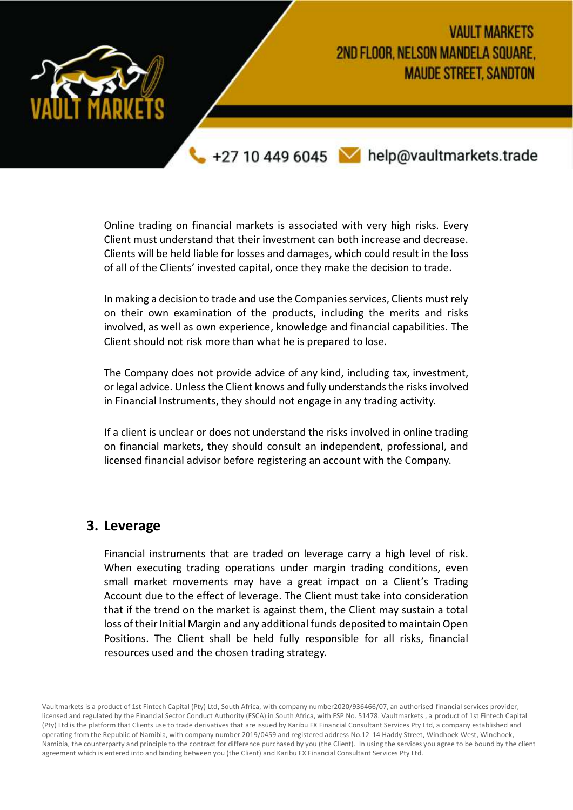

Online trading on financial markets is associated with very high risks. Every Client must understand that their investment can both increase and decrease. Clients will be held liable for losses and damages, which could result in the loss of all of the Clients' invested capital, once they make the decision to trade.

In making a decision to trade and use the Companies services, Clients must rely on their own examination of the products, including the merits and risks involved, as well as own experience, knowledge and financial capabilities. The Client should not risk more than what he is prepared to lose.

The Company does not provide advice of any kind, including tax, investment, or legal advice. Unless the Client knows and fully understands the risks involved in Financial Instruments, they should not engage in any trading activity.

If a client is unclear or does not understand the risks involved in online trading on financial markets, they should consult an independent, professional, and licensed financial advisor before registering an account with the Company.

#### **3. Leverage**

Financial instruments that are traded on leverage carry a high level of risk. When executing trading operations under margin trading conditions, even small market movements may have a great impact on a Client's Trading Account due to the effect of leverage. The Client must take into consideration that if the trend on the market is against them, the Client may sustain a total loss of their Initial Margin and any additional funds deposited to maintain Open Positions. The Client shall be held fully responsible for all risks, financial resources used and the chosen trading strategy.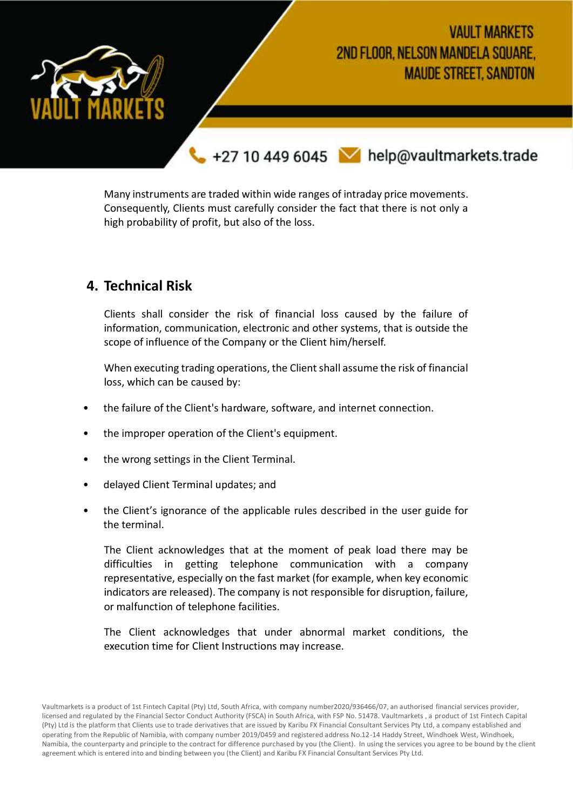

Many instruments are traded within wide ranges of intraday price movements. Consequently, Clients must carefully consider the fact that there is not only a high probability of profit, but also of the loss.

## **4. Technical Risk**

Clients shall consider the risk of financial loss caused by the failure of information, communication, electronic and other systems, that is outside the scope of influence of the Company or the Client him/herself.

When executing trading operations, the Client shall assume the risk of financial loss, which can be caused by:

- the failure of the Client's hardware, software, and internet connection.
- the improper operation of the Client's equipment.
- the wrong settings in the Client Terminal.
- delayed Client Terminal updates; and
- the Client's ignorance of the applicable rules described in the user guide for the terminal.

The Client acknowledges that at the moment of peak load there may be difficulties in getting telephone communication with a company representative, especially on the fast market (for example, when key economic indicators are released). The company is not responsible for disruption, failure, or malfunction of telephone facilities.

The Client acknowledges that under abnormal market conditions, the execution time for Client Instructions may increase.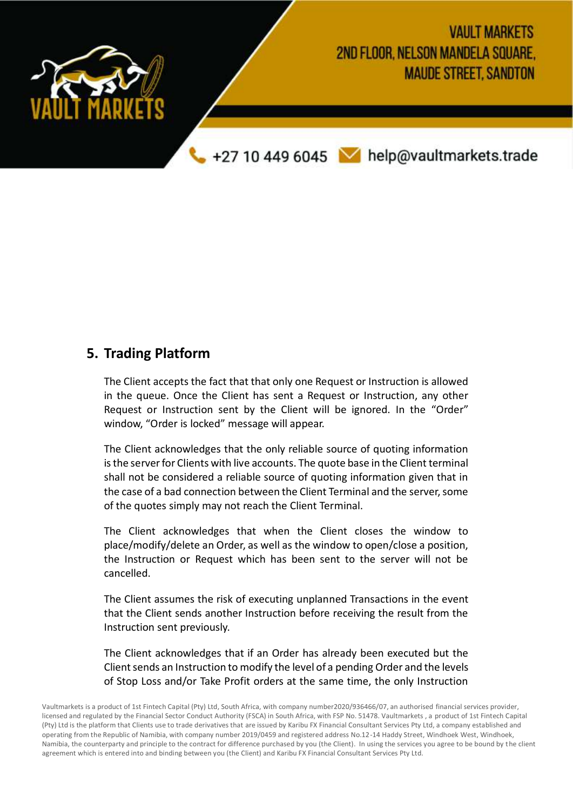

## **5. Trading Platform**

The Client accepts the fact that that only one Request or Instruction is allowed in the queue. Once the Client has sent a Request or Instruction, any other Request or Instruction sent by the Client will be ignored. In the "Order" window, "Order is locked" message will appear.

The Client acknowledges that the only reliable source of quoting information is the server for Clients with live accounts. The quote base in the Client terminal shall not be considered a reliable source of quoting information given that in the case of a bad connection between the Client Terminal and the server, some of the quotes simply may not reach the Client Terminal.

The Client acknowledges that when the Client closes the window to place/modify/delete an Order, as well as the window to open/close a position, the Instruction or Request which has been sent to the server will not be cancelled.

The Client assumes the risk of executing unplanned Transactions in the event that the Client sends another Instruction before receiving the result from the Instruction sent previously.

The Client acknowledges that if an Order has already been executed but the Client sends an Instruction to modify the level of a pending Order and the levels of Stop Loss and/or Take Profit orders at the same time, the only Instruction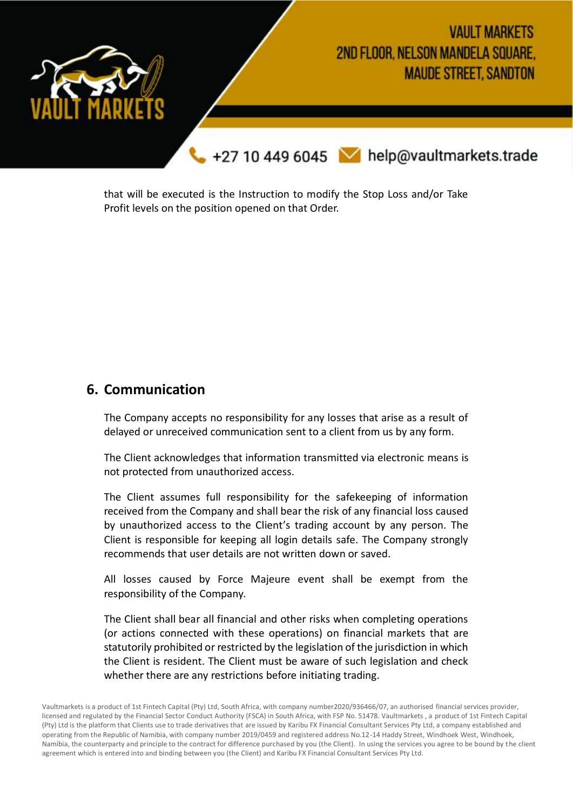

that will be executed is the Instruction to modify the Stop Loss and/or Take Profit levels on the position opened on that Order.

## **6. Communication**

The Company accepts no responsibility for any losses that arise as a result of delayed or unreceived communication sent to a client from us by any form.

The Client acknowledges that information transmitted via electronic means is not protected from unauthorized access.

The Client assumes full responsibility for the safekeeping of information received from the Company and shall bear the risk of any financial loss caused by unauthorized access to the Client's trading account by any person. The Client is responsible for keeping all login details safe. The Company strongly recommends that user details are not written down or saved.

All losses caused by Force Majeure event shall be exempt from the responsibility of the Company.

The Client shall bear all financial and other risks when completing operations (or actions connected with these operations) on financial markets that are statutorily prohibited or restricted by the legislation of the jurisdiction in which the Client is resident. The Client must be aware of such legislation and check whether there are any restrictions before initiating trading.